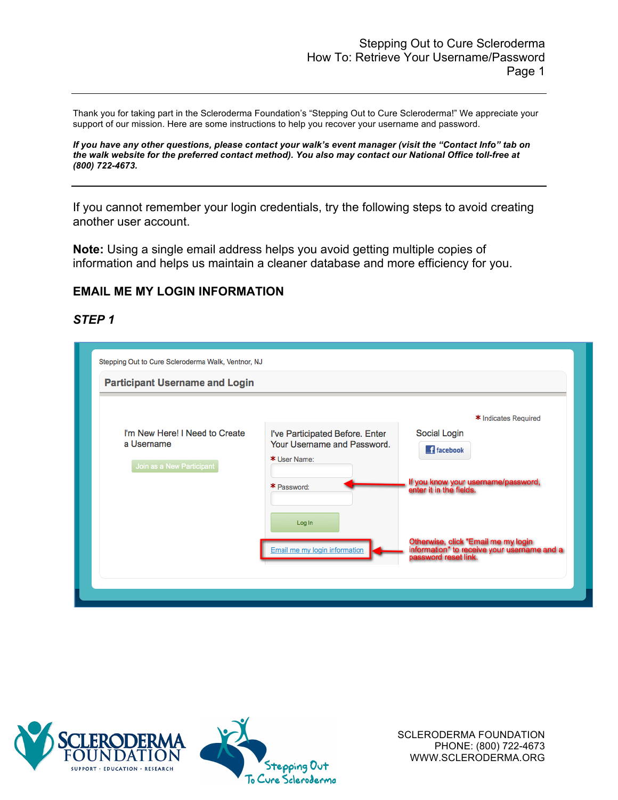Thank you for taking part in the Scleroderma Foundation's "Stepping Out to Cure Scleroderma!" We appreciate your support of our mission. Here are some instructions to help you recover your username and password.

*If you have any other questions, please contact your walk's event manager (visit the "Contact Info" tab on the walk website for the preferred contact method). You also may contact our National Office toll-free at (800) 722-4673.*

If you cannot remember your login credentials, try the following steps to avoid creating another user account.

**Note:** Using a single email address helps you avoid getting multiple copies of information and helps us maintain a cleaner database and more efficiency for you.

### **EMAIL ME MY LOGIN INFORMATION**

#### *STEP 1*

| <b>Participant Username and Login</b>                                     |                                                                                               |                                                                                                                             |
|---------------------------------------------------------------------------|-----------------------------------------------------------------------------------------------|-----------------------------------------------------------------------------------------------------------------------------|
| I'm New Here! I Need to Create<br>a Username<br>Join as a New Participant | I've Participated Before. Enter<br>Your Username and Password.<br>* User Name:<br>* Password: | * Indicates Required<br>Social Login<br><b>F</b> facebook<br>If you know your username/password,<br>enter it in the fields. |
|                                                                           | Log In<br>Email me my login information                                                       | Otherwise, click "Email me my login<br>information" to receive your username and a<br>password reset link.                  |



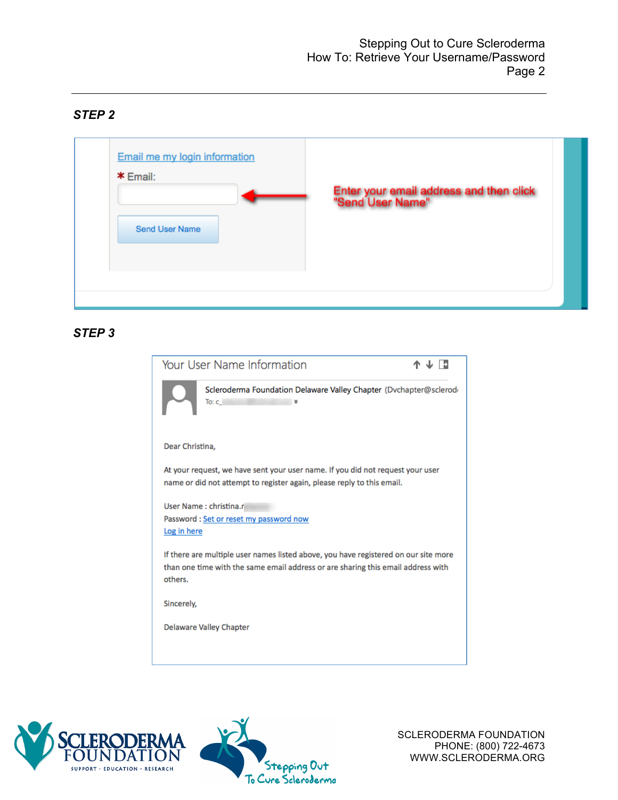### *STEP 2*



### *STEP 3*

| Your User Name Information                                                                                                                                                         |  |
|------------------------------------------------------------------------------------------------------------------------------------------------------------------------------------|--|
| Scleroderma Foundation Delaware Valley Chapter (Dvchapter@sclerode<br>To: $c$<br>४                                                                                                 |  |
| Dear Christina,                                                                                                                                                                    |  |
| At your request, we have sent your user name. If you did not request your user<br>name or did not attempt to register again, please reply to this email.                           |  |
| User Name: christina.rl<br>Password: Set or reset my password now<br>Log in here                                                                                                   |  |
| If there are multiple user names listed above, you have registered on our site more<br>than one time with the same email address or are sharing this email address with<br>others. |  |
| Sincerely,                                                                                                                                                                         |  |
| <b>Delaware Valley Chapter</b>                                                                                                                                                     |  |
|                                                                                                                                                                                    |  |



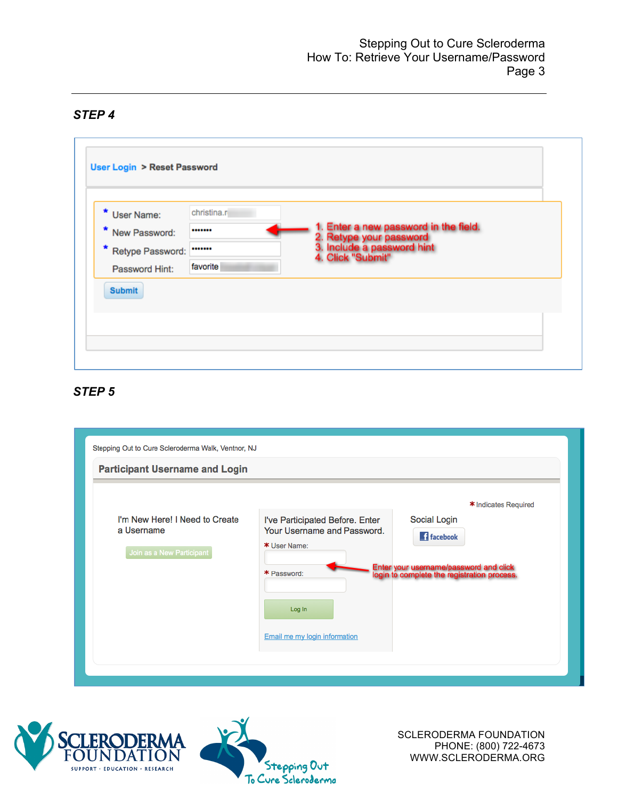# *STEP 4*

| * User Name:<br>* New Password:      | christina.r<br> | 1. Enter a new password in the field.                                      |  |
|--------------------------------------|-----------------|----------------------------------------------------------------------------|--|
| * Retype Password:<br>Password Hint: | <br>favorite    | 2. Retype your password<br>3. Include a password hint<br>4. Click "Submit" |  |
| <b>Submit</b>                        |                 |                                                                            |  |

## *STEP 5*

| Stepping Out to Cure Scleroderma Walk, Ventnor, NJ<br><b>Participant Username and Login</b> |                                                                                                                                          |                                                                                                                                                    |
|---------------------------------------------------------------------------------------------|------------------------------------------------------------------------------------------------------------------------------------------|----------------------------------------------------------------------------------------------------------------------------------------------------|
| I'm New Here! I Need to Create<br>a Username<br>Join as a New Participant                   | I've Participated Before. Enter<br>Your Username and Password.<br>* User Name:<br>* Password:<br>Log In<br>Email me my login information | * Indicates Required<br>Social Login<br><b>f</b> facebook<br>Enter your username/password and click<br>login to complete the registration process. |